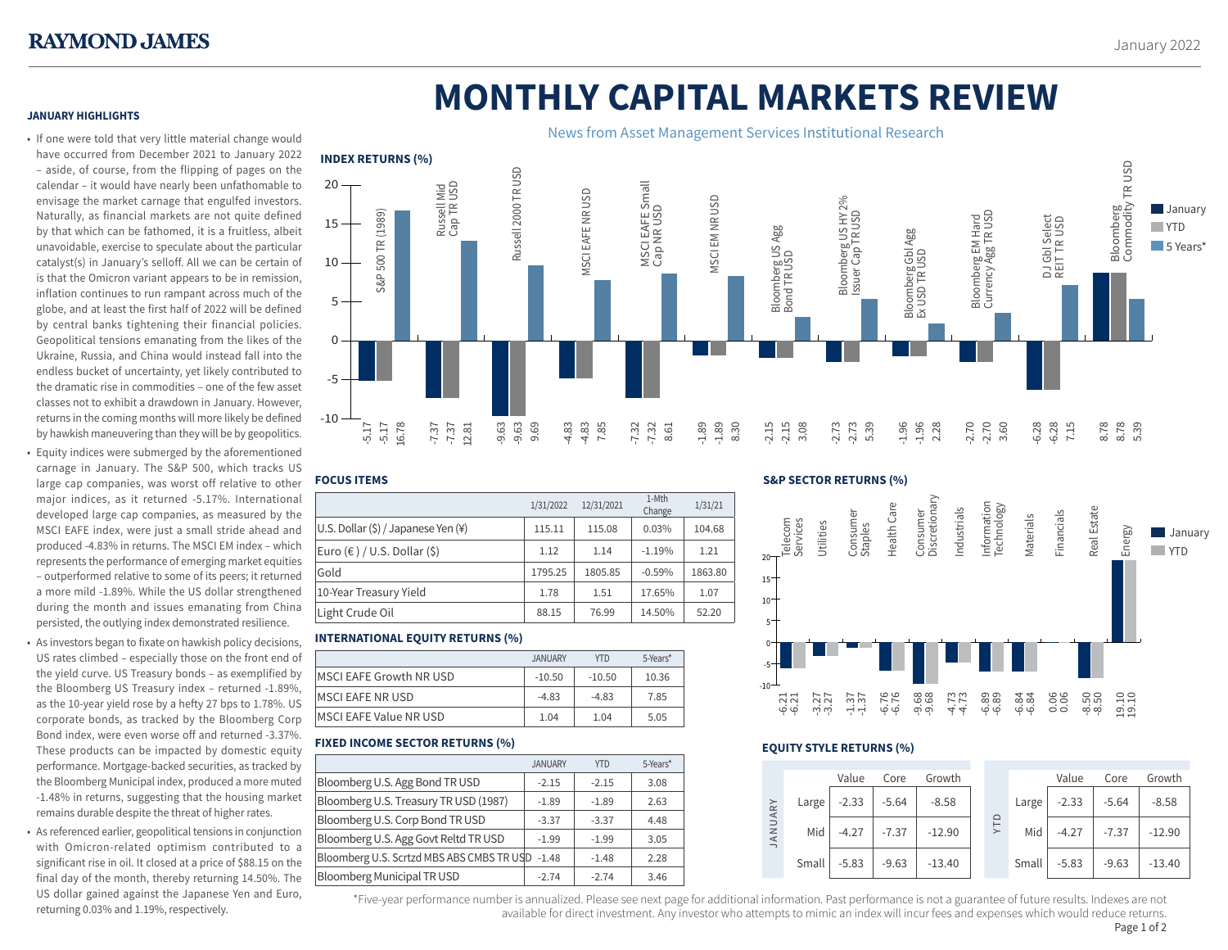# **MONTHLY CAPITAL MARKETS REVIEW**

# **JANUARY HIGHLIGHTS**

• If one were told that very little material change would have occurred from December 2021 to January 2022 – aside, of course, from the flipping of pages on the calendar – it would have nearly been unfathomable to envisage the market carnage that engulfed investors. Naturally, as financial markets are not quite defined by that which can be fathomed, it is a fruitless, albeit unavoidable, exercise to speculate about the particular catalyst(s) in January's selloff. All we can be certain of is that the Omicron variant appears to be in remission, inflation continues to run rampant across much of the globe, and at least the first half of 2022 will be defined by central banks tightening their financial policies. Geopolitical tensions emanating from the likes of the Ukraine, Russia, and China would instead fall into the endless bucket of uncertainty, yet likely contributed to the dramatic rise in commodities – one of the few asset classes not to exhibit a drawdown in January. However, returns in the coming months will more likely be defined by hawkish maneuvering than they will be by geopolitics.

- Equity indices were submerged by the aforementioned carnage in January. The S&P 500, which tracks US large cap companies, was worst off relative to other major indices, as it returned -5.17%. International developed large cap companies, as measured by the MSCI EAFE index, were just a small stride ahead and produced -4.83% in returns. The MSCI EM index – which represents the performance of emerging market equities – outperformed relative to some of its peers; it returned a more mild -1.89%. While the US dollar strengthened during the month and issues emanating from China persisted, the outlying index demonstrated resilience.
- As investors began to fixate on hawkish policy decisions, US rates climbed – especially those on the front end of the yield curve. US Treasury bonds – as exemplified by the Bloomberg US Treasury index – returned -1.89%, as the 10-year yield rose by a hefty 27 bps to 1.78%. US corporate bonds, as tracked by the Bloomberg Corp Bond index, were even worse off and returned -3.37%. These products can be impacted by domestic equity performance. Mortgage-backed securities, as tracked by the Bloomberg Municipal index, produced a more muted -1.48% in returns, suggesting that the housing market remains durable despite the threat of higher rates.
- As referenced earlier, geopolitical tensions in conjunction with Omicron-related optimism contributed to a significant rise in oil. It closed at a price of \$88.15 on the final day of the month, thereby returning 14.50%. The US dollar gained against the Japanese Yen and Euro, returning 0.03% and 1.19%, respectively.



# **FOCUS ITEMS**

| 1-Mth<br>12/31/2021<br>1/31/2022<br>Change<br>U.S. Dollar (\$) / Japanese Yen (¥)<br>0.03%<br>115.11<br>115.08<br>Euro (€ ) / U.S. Dollar (\$)<br>1.21<br>1.12<br>$-1.19%$<br>1.14<br>Gold<br>1795.25<br>1805.85<br>$-0.59%$ |                        |      |      |        |         |
|------------------------------------------------------------------------------------------------------------------------------------------------------------------------------------------------------------------------------|------------------------|------|------|--------|---------|
|                                                                                                                                                                                                                              |                        |      |      |        | 1/31/21 |
|                                                                                                                                                                                                                              |                        |      |      |        | 104.68  |
|                                                                                                                                                                                                                              |                        |      |      |        |         |
|                                                                                                                                                                                                                              |                        |      |      |        | 1863.80 |
|                                                                                                                                                                                                                              | 10-Year Treasury Yield | 1.78 | 1.51 | 17.65% | 1.07    |
| Light Crude Oil<br>88.15<br>76.99<br>14.50%                                                                                                                                                                                  |                        |      |      |        | 52.20   |

# **INTERNATIONAL EQUITY RETURNS (%)**

|                         | <b>JANUARY</b> | <b>YTD</b> | 5-Years* |
|-------------------------|----------------|------------|----------|
| MSCI EAFE Growth NR USD | $-10.50$       | $-10.50$   | 10.36    |
| MSCI EAFE NR USD        | $-4.83$        | $-4.83$    | 7.85     |
| MSCI EAFE Value NR USD  | 1.04           | 1.04       | 5.05     |

# **FIXED INCOME SECTOR RETURNS (%)**

|                                           | <b>JANUARY</b> | <b>YTD</b> | 5-Years* |
|-------------------------------------------|----------------|------------|----------|
| Bloomberg U.S. Agg Bond TR USD            | $-2.15$        | $-2.15$    | 3.08     |
| Bloomberg U.S. Treasury TR USD (1987)     | $-1.89$        | $-1.89$    | 2.63     |
| Bloomberg U.S. Corp Bond TR USD           | $-3.37$        | $-3.37$    | 4.48     |
| Bloomberg U.S. Agg Govt Reltd TR USD      | $-1.99$        | $-1.99$    | 3.05     |
| Bloomberg U.S. Scrtzd MBS ABS CMBS TR USD | $-1.48$        | $-1.48$    | 2.28     |
| <b>Bloomberg Municipal TR USD</b>         | $-2.74$        | $-2.74$    | 3.46     |

# **S&P SECTOR RETURNS (%)**



# **EQUITY STYLE RETURNS (%)**

|         |       | Value   | Core    | Growth   |            |       | Value   | Core    | Growth   |
|---------|-------|---------|---------|----------|------------|-------|---------|---------|----------|
|         | Large | $-2.33$ | $-5.64$ | $-8.58$  |            | Large | $-2.33$ | $-5.64$ | $-8.58$  |
| JANUARY | Mid   | $-4.27$ | $-7.37$ | $-12.90$ | <b>ALA</b> | Mid   | $-4.27$ | $-7.37$ | $-12.90$ |
|         | Small | $-5.83$ | $-9.63$ | $-13.40$ |            | Small | $-5.83$ | $-9.63$ | $-13.40$ |

\*Five-year performance number is annualized. Please see next page for additional information. Past performance is not a guarantee of future results. Indexes are not 1 available for direct investment. Any investor who attempts to mimic an index will incur fees and expenses which would reduce returns.